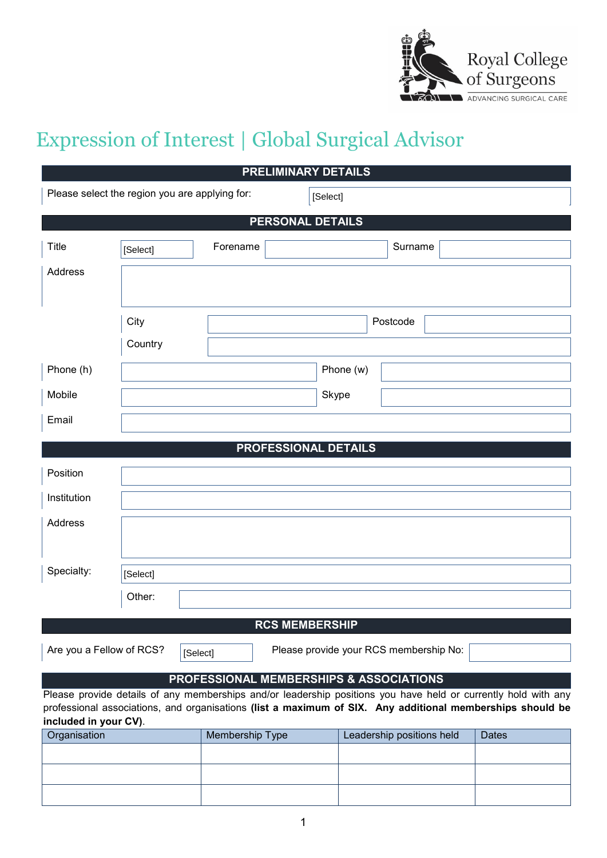

# Expression of Interest | Global Surgical Advisor

| <b>PRELIMINARY DETAILS</b>                                                     |                                                                                                                                                                                                                             |                 |                           |              |  |  |  |
|--------------------------------------------------------------------------------|-----------------------------------------------------------------------------------------------------------------------------------------------------------------------------------------------------------------------------|-----------------|---------------------------|--------------|--|--|--|
| Please select the region you are applying for:                                 |                                                                                                                                                                                                                             | [Select]        |                           |              |  |  |  |
| <b>PERSONAL DETAILS</b>                                                        |                                                                                                                                                                                                                             |                 |                           |              |  |  |  |
| Title                                                                          | [Select]                                                                                                                                                                                                                    | Forename        | Surname                   |              |  |  |  |
| Address                                                                        |                                                                                                                                                                                                                             |                 |                           |              |  |  |  |
|                                                                                |                                                                                                                                                                                                                             |                 |                           |              |  |  |  |
|                                                                                | City                                                                                                                                                                                                                        |                 | Postcode                  |              |  |  |  |
|                                                                                | Country                                                                                                                                                                                                                     |                 |                           |              |  |  |  |
| Phone (h)                                                                      |                                                                                                                                                                                                                             |                 | Phone (w)                 |              |  |  |  |
| Mobile                                                                         |                                                                                                                                                                                                                             |                 | Skype                     |              |  |  |  |
| Email                                                                          |                                                                                                                                                                                                                             |                 |                           |              |  |  |  |
|                                                                                |                                                                                                                                                                                                                             |                 | PROFESSIONAL DETAILS      |              |  |  |  |
| Position                                                                       |                                                                                                                                                                                                                             |                 |                           |              |  |  |  |
| Institution                                                                    |                                                                                                                                                                                                                             |                 |                           |              |  |  |  |
| Address                                                                        |                                                                                                                                                                                                                             |                 |                           |              |  |  |  |
|                                                                                |                                                                                                                                                                                                                             |                 |                           |              |  |  |  |
| Specialty:                                                                     | [Select]                                                                                                                                                                                                                    |                 |                           |              |  |  |  |
|                                                                                | Other:                                                                                                                                                                                                                      |                 |                           |              |  |  |  |
|                                                                                |                                                                                                                                                                                                                             |                 | <b>RCS MEMBERSHIP</b>     |              |  |  |  |
| Are you a Fellow of RCS?<br>Please provide your RCS membership No:<br>[Select] |                                                                                                                                                                                                                             |                 |                           |              |  |  |  |
|                                                                                | PROFESSIONAL MEMBERSHIPS & ASSOCIATIONS                                                                                                                                                                                     |                 |                           |              |  |  |  |
|                                                                                | Please provide details of any memberships and/or leadership positions you have held or currently hold with any<br>professional associations, and organisations (list a maximum of SIX. Any additional memberships should be |                 |                           |              |  |  |  |
| included in your CV).                                                          |                                                                                                                                                                                                                             |                 |                           |              |  |  |  |
| Organisation                                                                   |                                                                                                                                                                                                                             | Membership Type | Leadership positions held | <b>Dates</b> |  |  |  |
|                                                                                |                                                                                                                                                                                                                             |                 |                           |              |  |  |  |
|                                                                                |                                                                                                                                                                                                                             |                 |                           |              |  |  |  |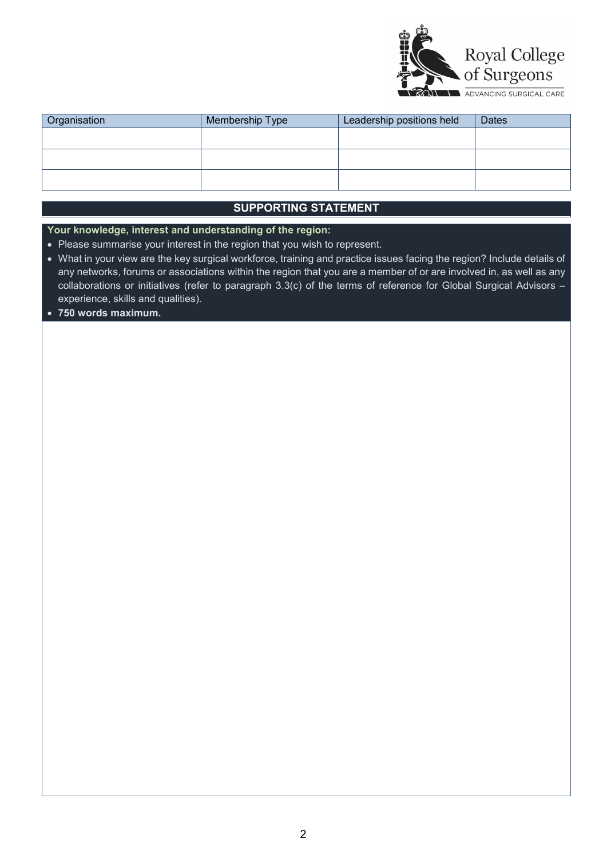

| Organisation | Membership Type | Leadership positions held | <b>Dates</b> |
|--------------|-----------------|---------------------------|--------------|
|              |                 |                           |              |
|              |                 |                           |              |
|              |                 |                           |              |
|              |                 |                           |              |
|              |                 |                           |              |

# **SUPPORTING STATEMENT**

**Your knowledge, interest and understanding of the region:**

- Please summarise your interest in the region that you wish to represent.
- What in your view are the key surgical workforce, training and practice issues facing the region? Include details of any networks, forums or associations within the region that you are a member of or are involved in, as well as any collaborations or initiatives (refer to paragraph 3.3(c) of the terms of reference for Global Surgical Advisors – experience, skills and qualities).
- **750 words maximum.**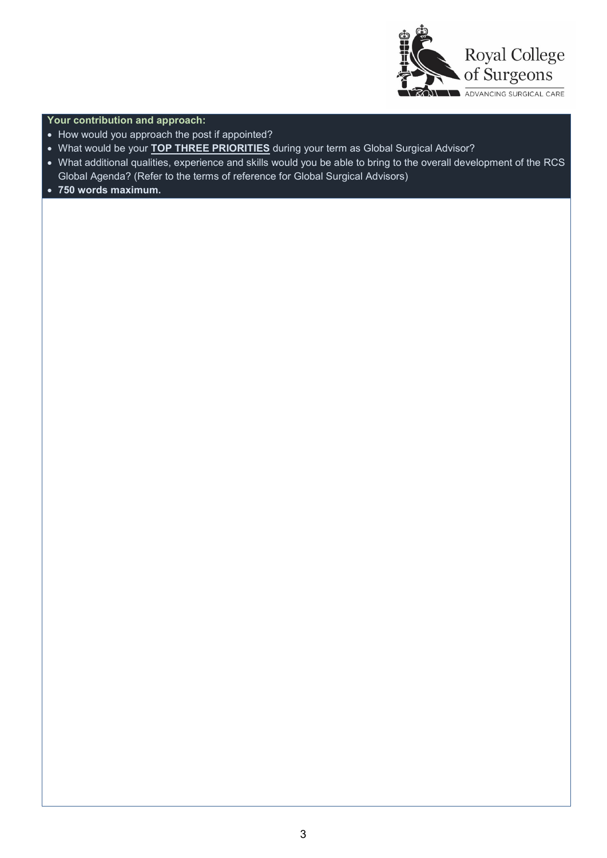

## **Your contribution and approach:**

- How would you approach the post if appointed?
- What would be your **TOP THREE PRIORITIES** during your term as Global Surgical Advisor?
- What additional qualities, experience and skills would you be able to bring to the overall development of the RCS Global Agenda? (Refer to the terms of reference for Global Surgical Advisors)
- **750 words maximum.**